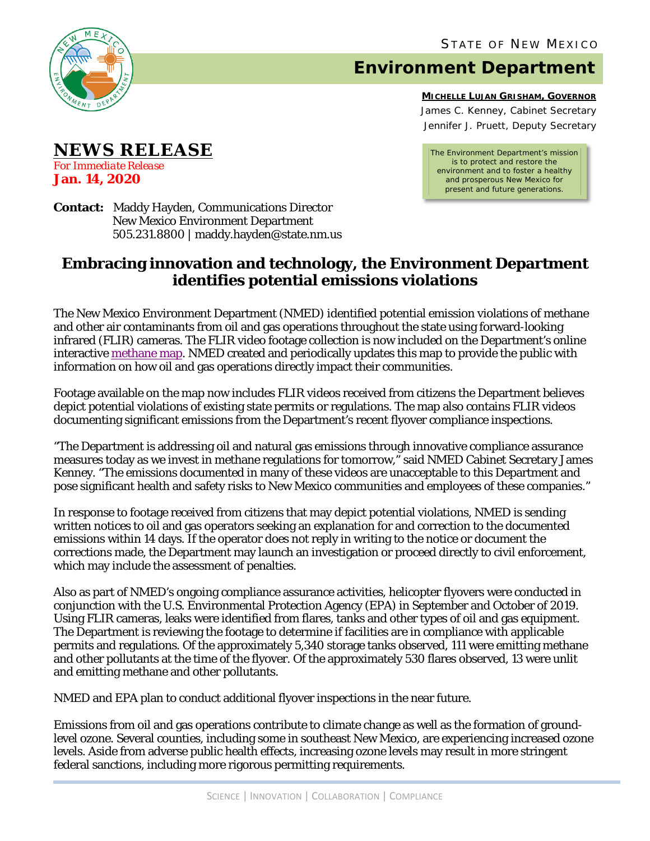

**NEWS RELEASE**

*For Immediate Release* **Jan. 14, 2020**

## **Environment Department**

**MICHELLE LUJAN GRISHAM, GOVERNOR** James C. Kenney, Cabinet Secretary Jennifer J. Pruett, Deputy Secretary

*The Environment Department's mission is to protect and restore the environment and to foster a healthy and prosperous New Mexico for present and future generations.*

**Contact:** Maddy Hayden, Communications Director New Mexico Environment Department 505.231.8800 | maddy.hayden@state.nm.us

## **Embracing innovation and technology, the Environment Department identifies potential emissions violations**

The New Mexico Environment Department (NMED) identified potential emission violations of methane and other air contaminants from oil and gas operations throughout the state using forward-looking infrared (FLIR) cameras. The FLIR video footage collection is now included on the Department's online interactiv[e methane map.](https://gis.web.env.nm.gov/oem/?map=methane) NMED created and periodically updates this map to provide the public with information on how oil and gas operations directly impact their communities.

Footage available on the map now includes FLIR videos received from citizens the Department believes depict potential violations of existing state permits or regulations. The map also contains FLIR videos documenting significant emissions from the Department's recent flyover compliance inspections.

"The Department is addressing oil and natural gas emissions through innovative compliance assurance measures today as we invest in methane regulations for tomorrow," said NMED Cabinet Secretary James Kenney. "The emissions documented in many of these videos are unacceptable to this Department and pose significant health and safety risks to New Mexico communities and employees of these companies."

In response to footage received from citizens that may depict potential violations, NMED is sending written notices to oil and gas operators seeking an explanation for and correction to the documented emissions within 14 days. If the operator does not reply in writing to the notice or document the corrections made, the Department may launch an investigation or proceed directly to civil enforcement, which may include the assessment of penalties.

Also as part of NMED's ongoing compliance assurance activities, helicopter flyovers were conducted in conjunction with the U.S. Environmental Protection Agency (EPA) in September and October of 2019. Using FLIR cameras, leaks were identified from flares, tanks and other types of oil and gas equipment. The Department is reviewing the footage to determine if facilities are in compliance with applicable permits and regulations. Of the approximately 5,340 storage tanks observed, 111 were emitting methane and other pollutants at the time of the flyover. Of the approximately 530 flares observed, 13 were unlit and emitting methane and other pollutants.

NMED and EPA plan to conduct additional flyover inspections in the near future.

Emissions from oil and gas operations contribute to climate change as well as the formation of groundlevel ozone. Several counties, including some in southeast New Mexico, are experiencing increased ozone levels. Aside from adverse public health effects, increasing ozone levels may result in more stringent federal sanctions, including more rigorous permitting requirements.